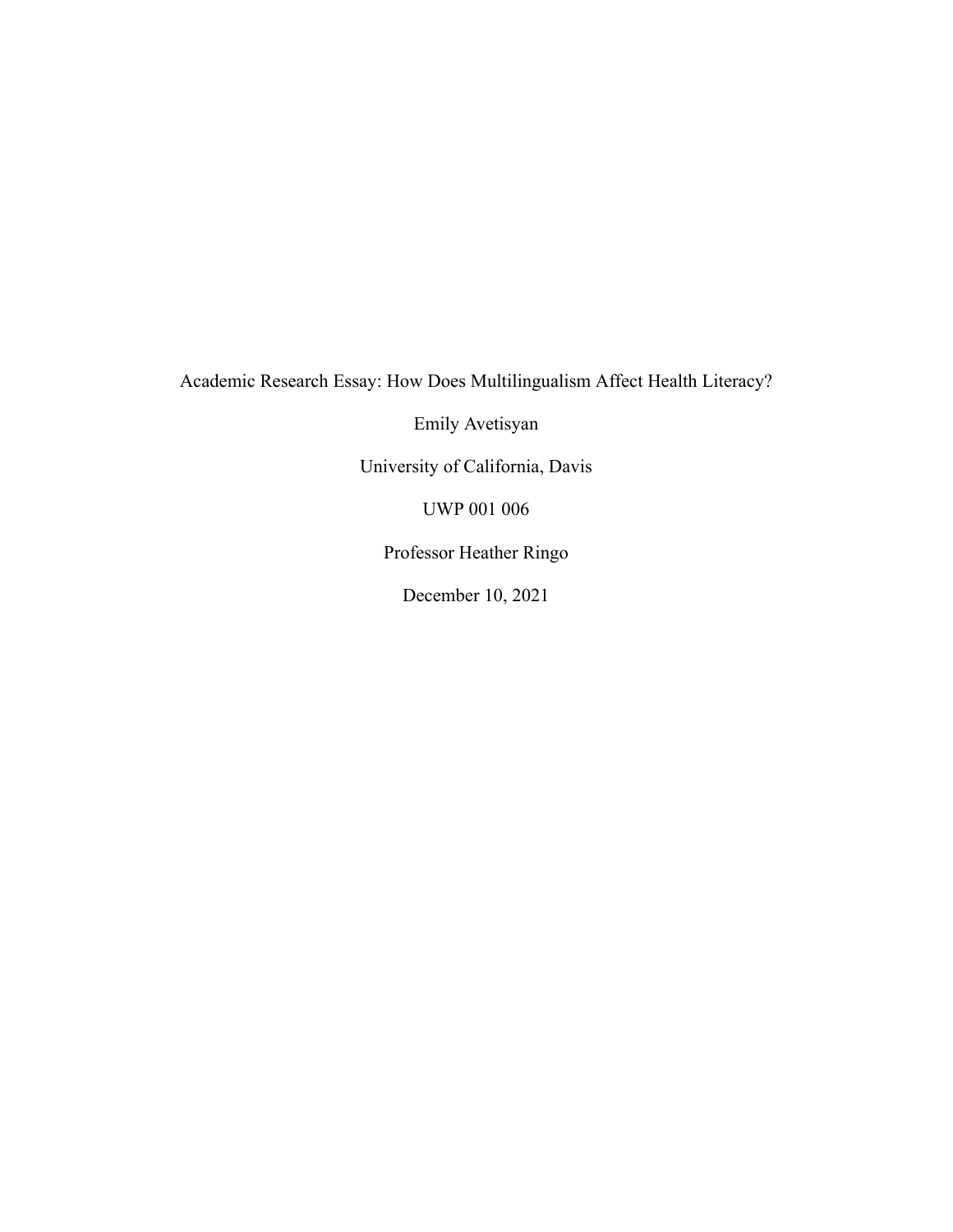Academic Research Essay: How Does Multilingualism Affect Health Literacy?

Emily Avetisyan

University of California, Davis

UWP 001 006

Professor Heather Ringo

December 10, 2021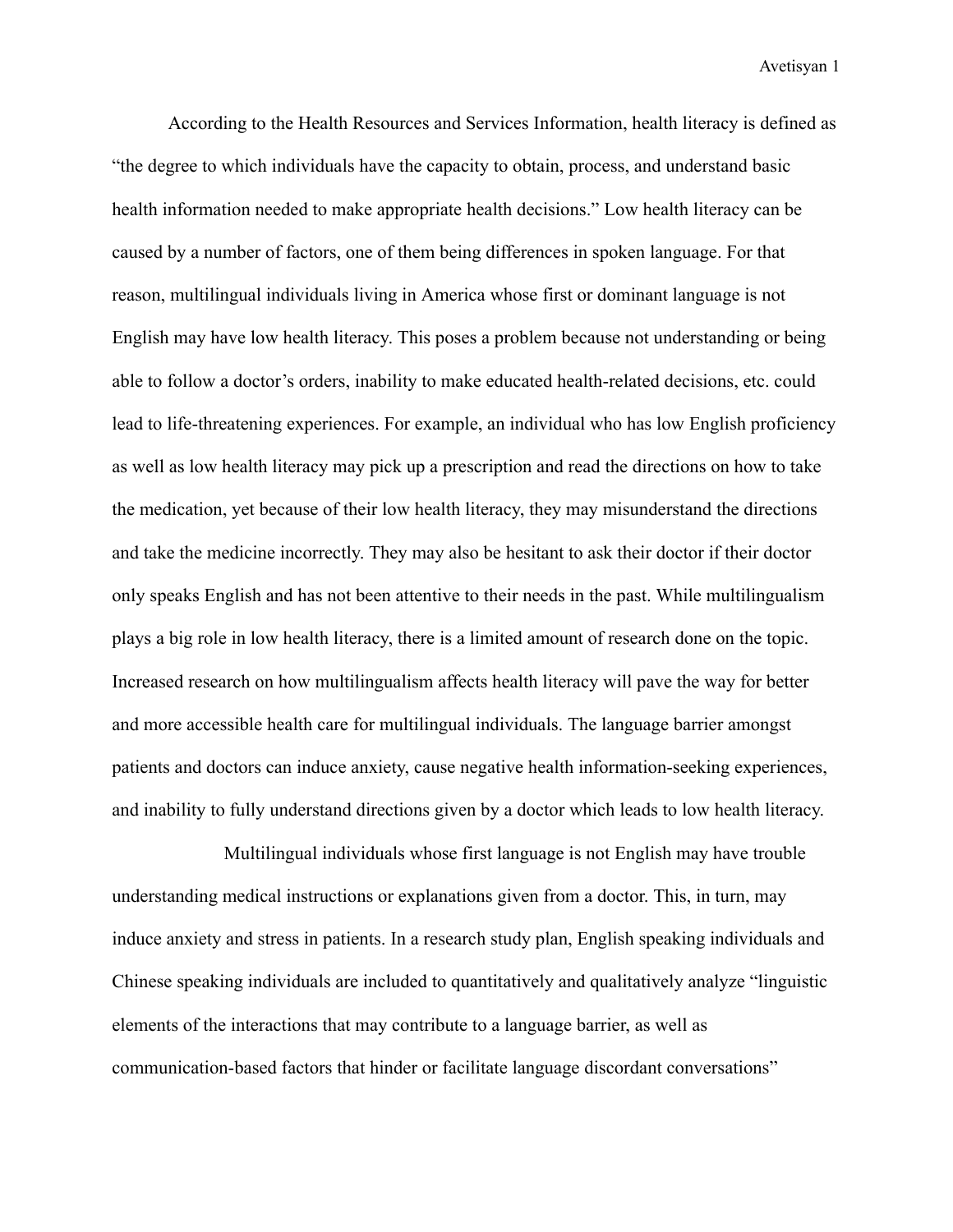According to the Health Resources and Services Information, health literacy is defined as "the degree to which individuals have the capacity to obtain, process, and understand basic health information needed to make appropriate health decisions." Low health literacy can be caused by a number of factors, one of them being differences in spoken language. For that reason, multilingual individuals living in America whose first or dominant language is not English may have low health literacy. This poses a problem because not understanding or being able to follow a doctor's orders, inability to make educated health-related decisions, etc. could lead to life-threatening experiences. For example, an individual who has low English proficiency as well as low health literacy may pick up a prescription and read the directions on how to take the medication, yet because of their low health literacy, they may misunderstand the directions and take the medicine incorrectly. They may also be hesitant to ask their doctor if their doctor only speaks English and has not been attentive to their needs in the past. While multilingualism plays a big role in low health literacy, there is a limited amount of research done on the topic. Increased research on how multilingualism affects health literacy will pave the way for better and more accessible health care for multilingual individuals. The language barrier amongst patients and doctors can induce anxiety, cause negative health information-seeking experiences, and inability to fully understand directions given by a doctor which leads to low health literacy.

Multilingual individuals whose first language is not English may have trouble understanding medical instructions or explanations given from a doctor. This, in turn, may induce anxiety and stress in patients. In a research study plan, English speaking individuals and Chinese speaking individuals are included to quantitatively and qualitatively analyze "linguistic elements of the interactions that may contribute to a language barrier, as well as communication-based factors that hinder or facilitate language discordant conversations"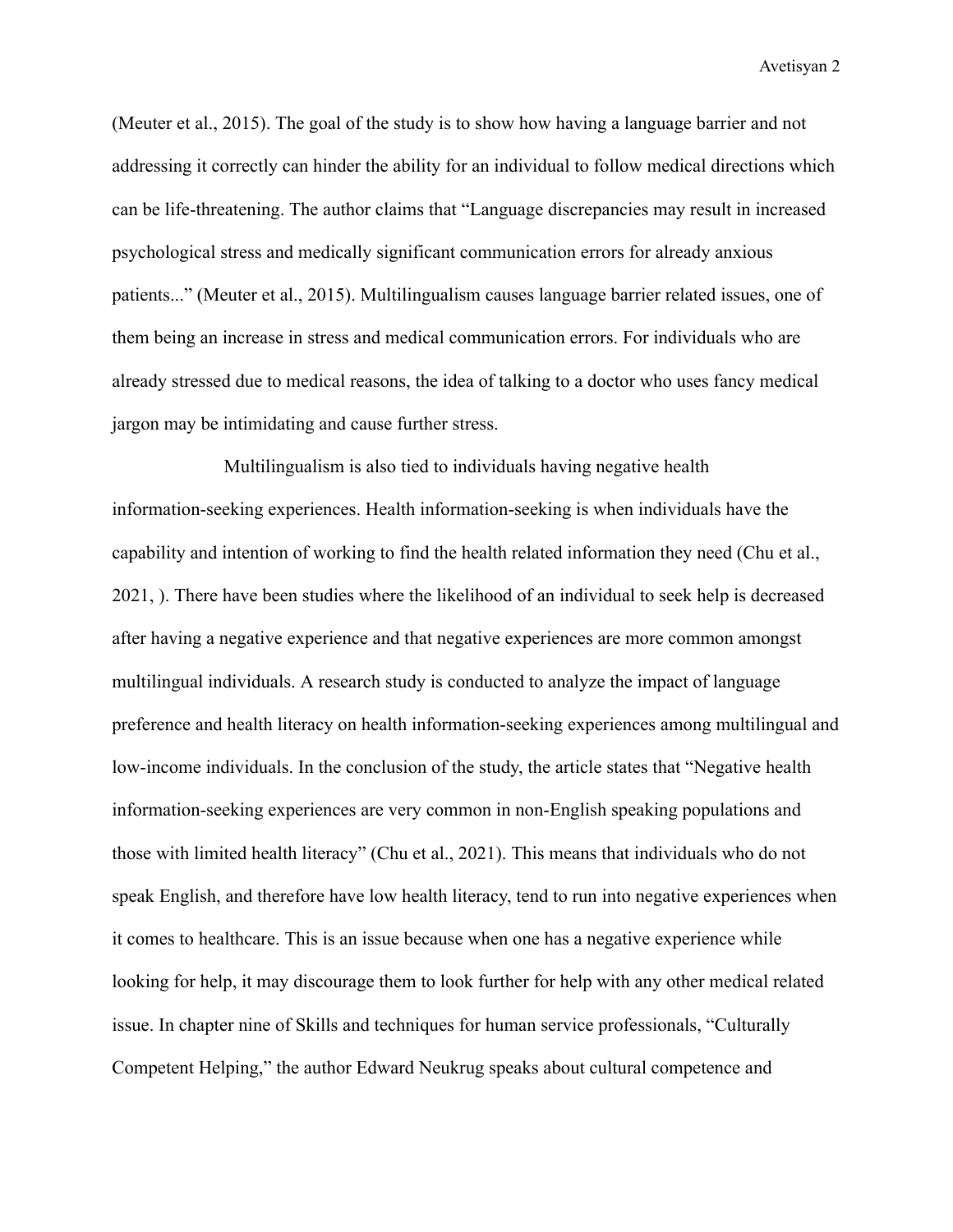(Meuter et al., 2015). The goal of the study is to show how having a language barrier and not addressing it correctly can hinder the ability for an individual to follow medical directions which can be life-threatening. The author claims that "Language discrepancies may result in increased psychological stress and medically significant communication errors for already anxious patients..." (Meuter et al., 2015). Multilingualism causes language barrier related issues, one of them being an increase in stress and medical communication errors. For individuals who are already stressed due to medical reasons, the idea of talking to a doctor who uses fancy medical jargon may be intimidating and cause further stress.

Multilingualism is also tied to individuals having negative health information-seeking experiences. Health information-seeking is when individuals have the capability and intention of working to find the health related information they need (Chu et al., 2021, ). There have been studies where the likelihood of an individual to seek help is decreased after having a negative experience and that negative experiences are more common amongst multilingual individuals. A research study is conducted to analyze the impact of language preference and health literacy on health information-seeking experiences among multilingual and low-income individuals. In the conclusion of the study, the article states that "Negative health information-seeking experiences are very common in non-English speaking populations and those with limited health literacy" (Chu et al., 2021). This means that individuals who do not speak English, and therefore have low health literacy, tend to run into negative experiences when it comes to healthcare. This is an issue because when one has a negative experience while looking for help, it may discourage them to look further for help with any other medical related issue. In chapter nine of Skills and techniques for human service professionals, "Culturally Competent Helping," the author Edward Neukrug speaks about cultural competence and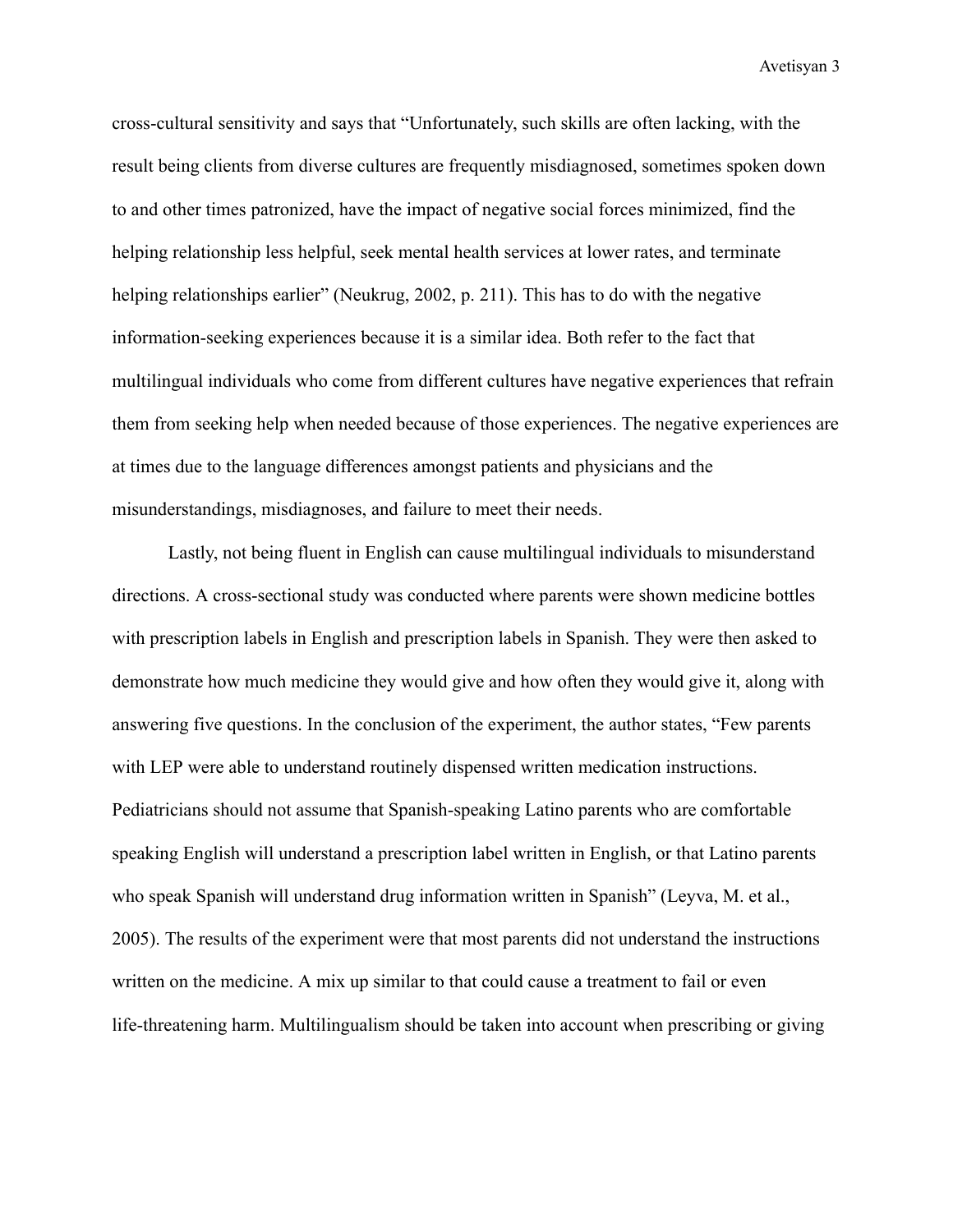cross-cultural sensitivity and says that "Unfortunately, such skills are often lacking, with the result being clients from diverse cultures are frequently misdiagnosed, sometimes spoken down to and other times patronized, have the impact of negative social forces minimized, find the helping relationship less helpful, seek mental health services at lower rates, and terminate helping relationships earlier" (Neukrug, 2002, p. 211). This has to do with the negative information-seeking experiences because it is a similar idea. Both refer to the fact that multilingual individuals who come from different cultures have negative experiences that refrain them from seeking help when needed because of those experiences. The negative experiences are at times due to the language differences amongst patients and physicians and the misunderstandings, misdiagnoses, and failure to meet their needs.

Lastly, not being fluent in English can cause multilingual individuals to misunderstand directions. A cross-sectional study was conducted where parents were shown medicine bottles with prescription labels in English and prescription labels in Spanish. They were then asked to demonstrate how much medicine they would give and how often they would give it, along with answering five questions. In the conclusion of the experiment, the author states, "Few parents with LEP were able to understand routinely dispensed written medication instructions. Pediatricians should not assume that Spanish-speaking Latino parents who are comfortable speaking English will understand a prescription label written in English, or that Latino parents who speak Spanish will understand drug information written in Spanish" (Leyva, M. et al., 2005). The results of the experiment were that most parents did not understand the instructions written on the medicine. A mix up similar to that could cause a treatment to fail or even life-threatening harm. Multilingualism should be taken into account when prescribing or giving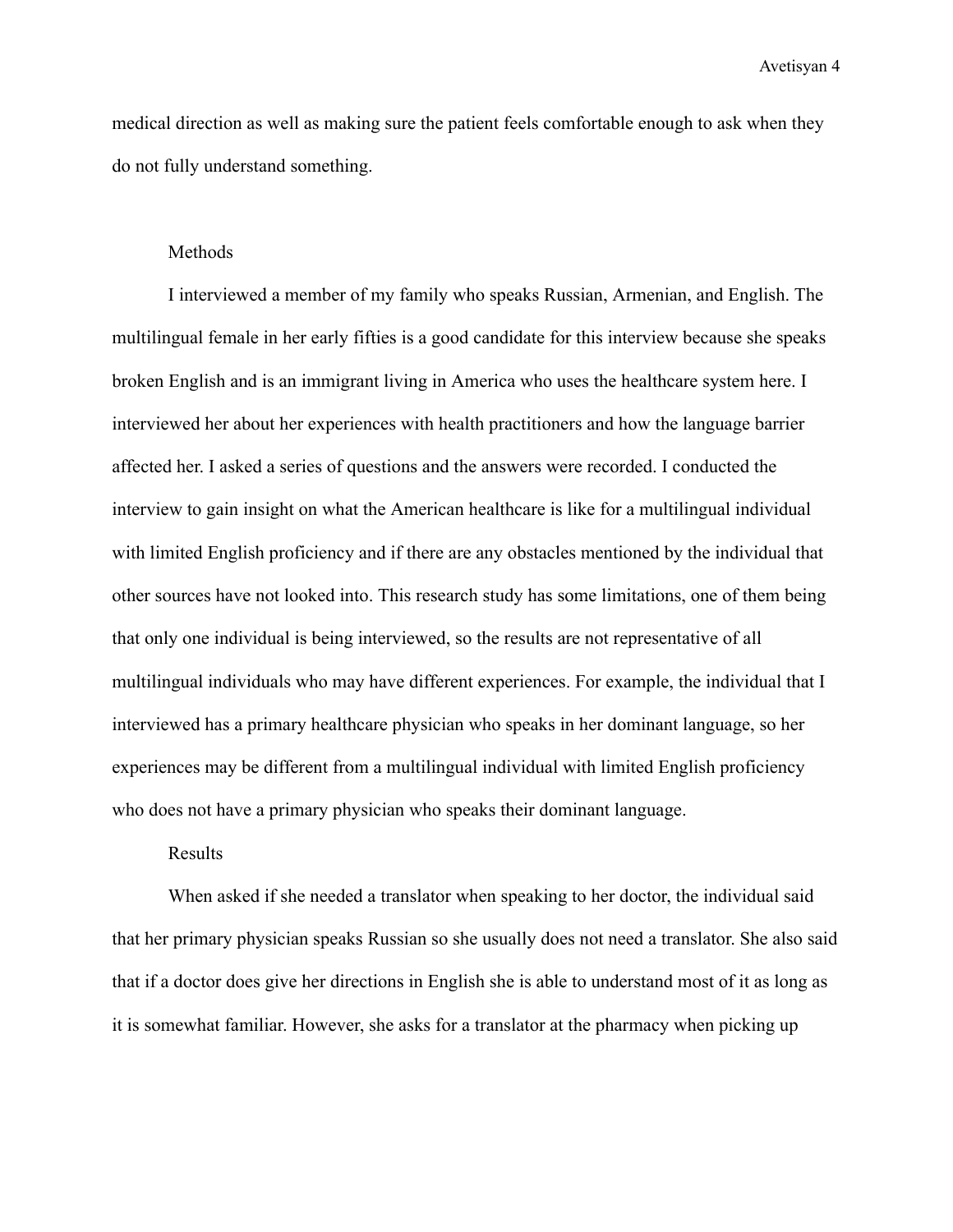medical direction as well as making sure the patient feels comfortable enough to ask when they do not fully understand something.

## **Methods**

I interviewed a member of my family who speaks Russian, Armenian, and English. The multilingual female in her early fifties is a good candidate for this interview because she speaks broken English and is an immigrant living in America who uses the healthcare system here. I interviewed her about her experiences with health practitioners and how the language barrier affected her. I asked a series of questions and the answers were recorded. I conducted the interview to gain insight on what the American healthcare is like for a multilingual individual with limited English proficiency and if there are any obstacles mentioned by the individual that other sources have not looked into. This research study has some limitations, one of them being that only one individual is being interviewed, so the results are not representative of all multilingual individuals who may have different experiences. For example, the individual that I interviewed has a primary healthcare physician who speaks in her dominant language, so her experiences may be different from a multilingual individual with limited English proficiency who does not have a primary physician who speaks their dominant language.

## Results

When asked if she needed a translator when speaking to her doctor, the individual said that her primary physician speaks Russian so she usually does not need a translator. She also said that if a doctor does give her directions in English she is able to understand most of it as long as it is somewhat familiar. However, she asks for a translator at the pharmacy when picking up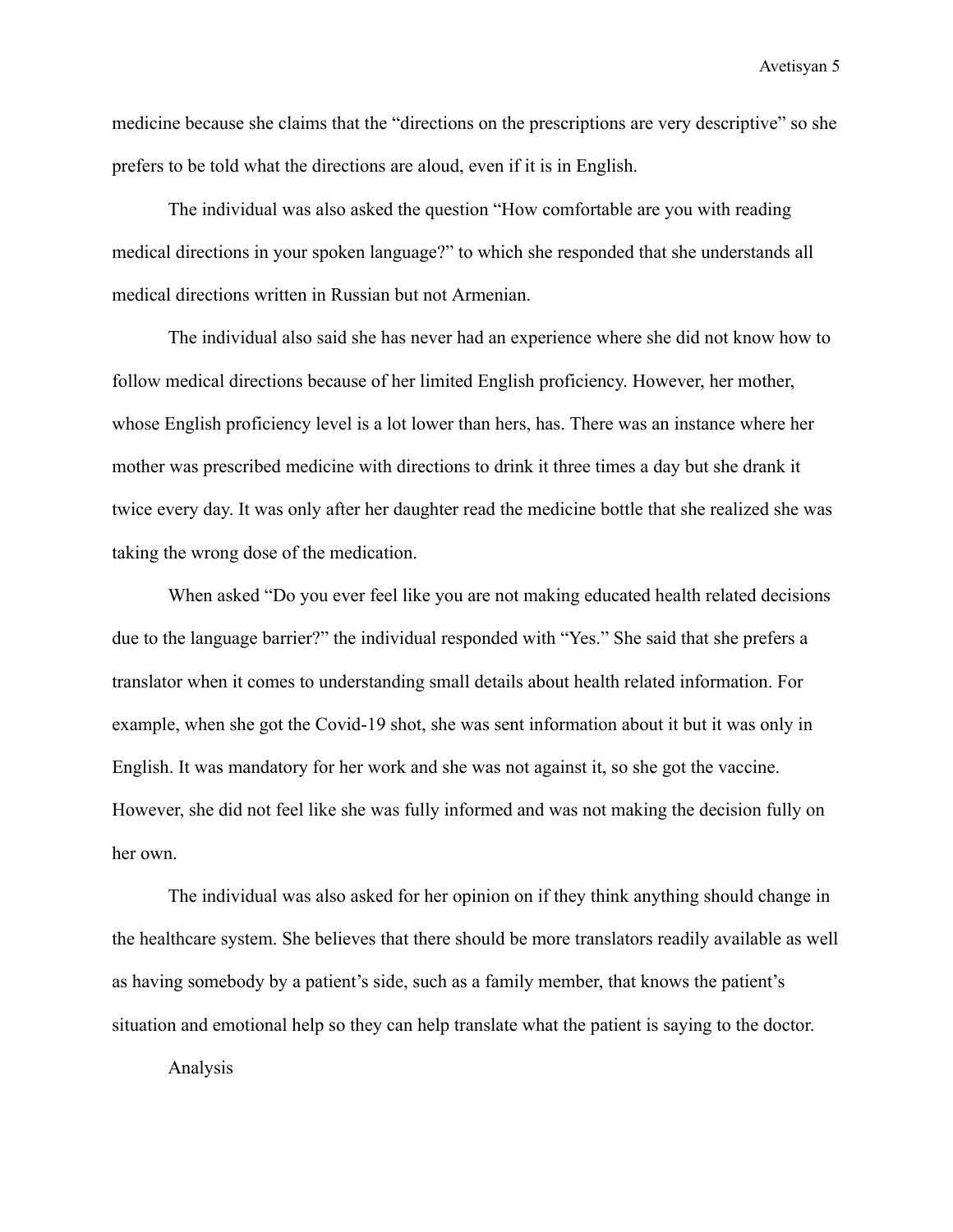medicine because she claims that the "directions on the prescriptions are very descriptive" so she prefers to be told what the directions are aloud, even if it is in English.

The individual was also asked the question "How comfortable are you with reading medical directions in your spoken language?" to which she responded that she understands all medical directions written in Russian but not Armenian.

The individual also said she has never had an experience where she did not know how to follow medical directions because of her limited English proficiency. However, her mother, whose English proficiency level is a lot lower than hers, has. There was an instance where her mother was prescribed medicine with directions to drink it three times a day but she drank it twice every day. It was only after her daughter read the medicine bottle that she realized she was taking the wrong dose of the medication.

When asked "Do you ever feel like you are not making educated health related decisions due to the language barrier?" the individual responded with "Yes." She said that she prefers a translator when it comes to understanding small details about health related information. For example, when she got the Covid-19 shot, she was sent information about it but it was only in English. It was mandatory for her work and she was not against it, so she got the vaccine. However, she did not feel like she was fully informed and was not making the decision fully on her own.

The individual was also asked for her opinion on if they think anything should change in the healthcare system. She believes that there should be more translators readily available as well as having somebody by a patient's side, such as a family member, that knows the patient's situation and emotional help so they can help translate what the patient is saying to the doctor.

Analysis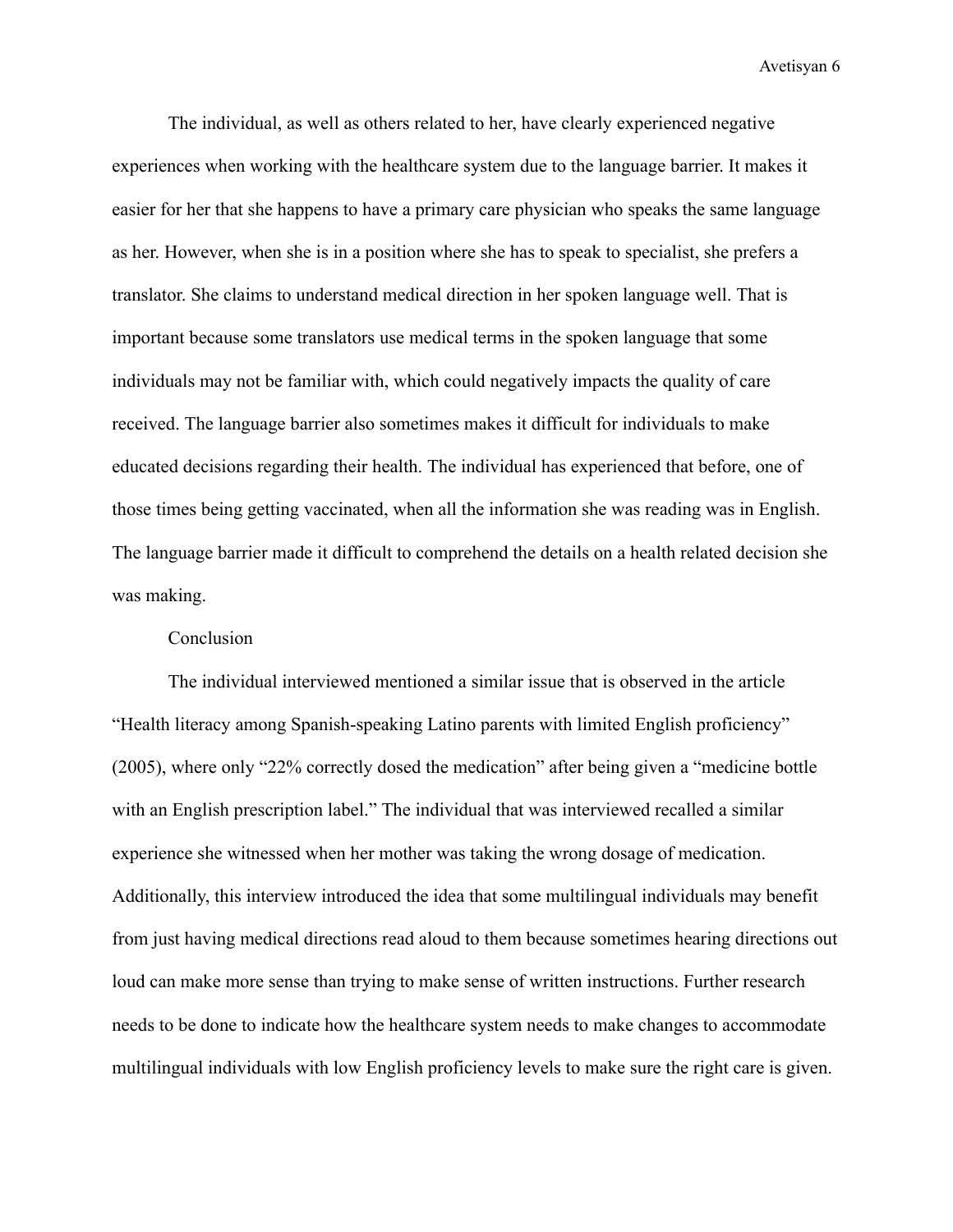The individual, as well as others related to her, have clearly experienced negative experiences when working with the healthcare system due to the language barrier. It makes it easier for her that she happens to have a primary care physician who speaks the same language as her. However, when she is in a position where she has to speak to specialist, she prefers a translator. She claims to understand medical direction in her spoken language well. That is important because some translators use medical terms in the spoken language that some individuals may not be familiar with, which could negatively impacts the quality of care received. The language barrier also sometimes makes it difficult for individuals to make educated decisions regarding their health. The individual has experienced that before, one of those times being getting vaccinated, when all the information she was reading was in English. The language barrier made it difficult to comprehend the details on a health related decision she was making.

# Conclusion

The individual interviewed mentioned a similar issue that is observed in the article "Health literacy among Spanish-speaking Latino parents with limited English proficiency" (2005), where only "22% correctly dosed the medication" after being given a "medicine bottle with an English prescription label." The individual that was interviewed recalled a similar experience she witnessed when her mother was taking the wrong dosage of medication. Additionally, this interview introduced the idea that some multilingual individuals may benefit from just having medical directions read aloud to them because sometimes hearing directions out loud can make more sense than trying to make sense of written instructions. Further research needs to be done to indicate how the healthcare system needs to make changes to accommodate multilingual individuals with low English proficiency levels to make sure the right care is given.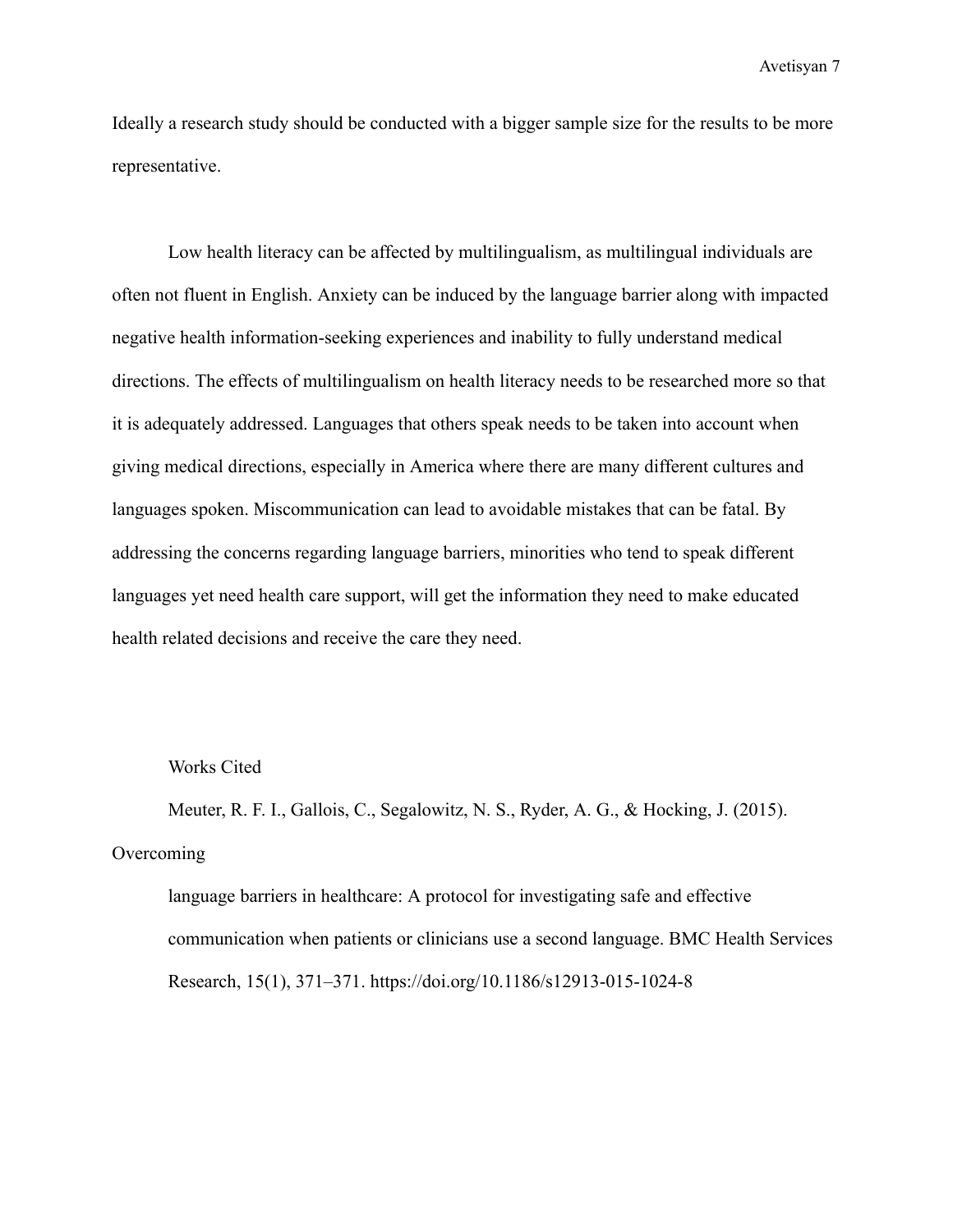Ideally a research study should be conducted with a bigger sample size for the results to be more representative.

Low health literacy can be affected by multilingualism, as multilingual individuals are often not fluent in English. Anxiety can be induced by the language barrier along with impacted negative health information-seeking experiences and inability to fully understand medical directions. The effects of multilingualism on health literacy needs to be researched more so that it is adequately addressed. Languages that others speak needs to be taken into account when giving medical directions, especially in America where there are many different cultures and languages spoken. Miscommunication can lead to avoidable mistakes that can be fatal. By addressing the concerns regarding language barriers, minorities who tend to speak different languages yet need health care support, will get the information they need to make educated health related decisions and receive the care they need.

### Works Cited

Meuter, R. F. I., Gallois, C., Segalowitz, N. S., Ryder, A. G., & Hocking, J. (2015). **Overcoming** 

language barriers in healthcare: A protocol for investigating safe and effective communication when patients or clinicians use a second language. BMC Health Services Research, 15(1), 371–371. https://doi.org/10.1186/s12913-015-1024-8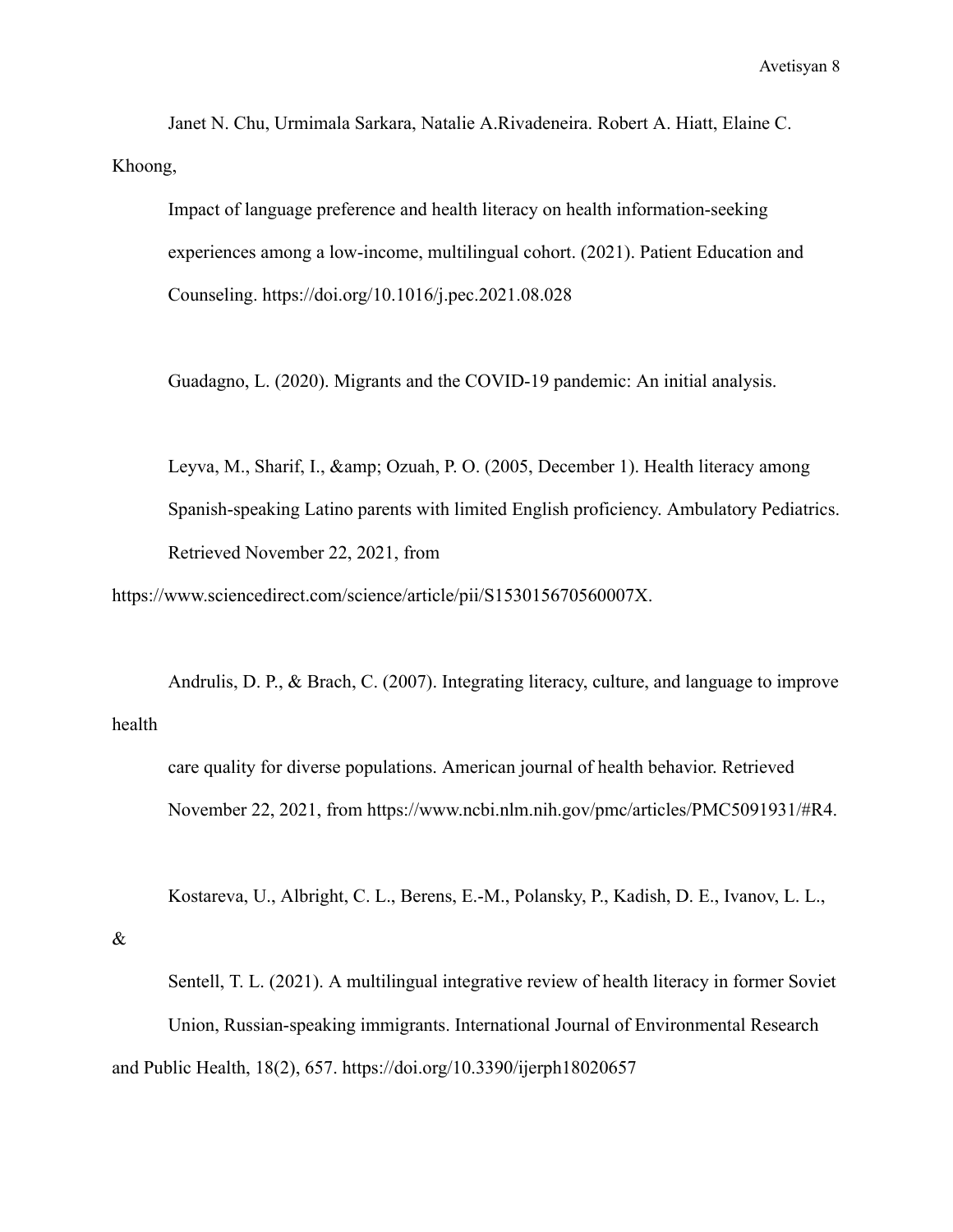Janet N. Chu, Urmimala Sarkara, Natalie A.Rivadeneira. Robert A. Hiatt, Elaine C. Khoong,

Impact of language preference and health literacy on health information-seeking experiences among a low-income, multilingual cohort. (2021). Patient Education and Counseling. https://doi.org/10.1016/j.pec.2021.08.028

Guadagno, L. (2020). Migrants and the COVID-19 pandemic: An initial analysis.

Leyva, M., Sharif, I., & amp; Ozuah, P. O. (2005, December 1). Health literacy among Spanish-speaking Latino parents with limited English proficiency. Ambulatory Pediatrics. Retrieved November 22, 2021, from

https://www.sciencedirect.com/science/article/pii/S153015670560007X.

Andrulis, D. P., & Brach, C. (2007). Integrating literacy, culture, and language to improve health

care quality for diverse populations. American journal of health behavior. Retrieved November 22, 2021, from https://www.ncbi.nlm.nih.gov/pmc/articles/PMC5091931/#R4.

Kostareva, U., Albright, C. L., Berens, E.-M., Polansky, P., Kadish, D. E., Ivanov, L. L.,

#### &

Sentell, T. L. (2021). A multilingual integrative review of health literacy in former Soviet Union, Russian-speaking immigrants. International Journal of Environmental Research and Public Health, 18(2), 657. https://doi.org/10.3390/ijerph18020657